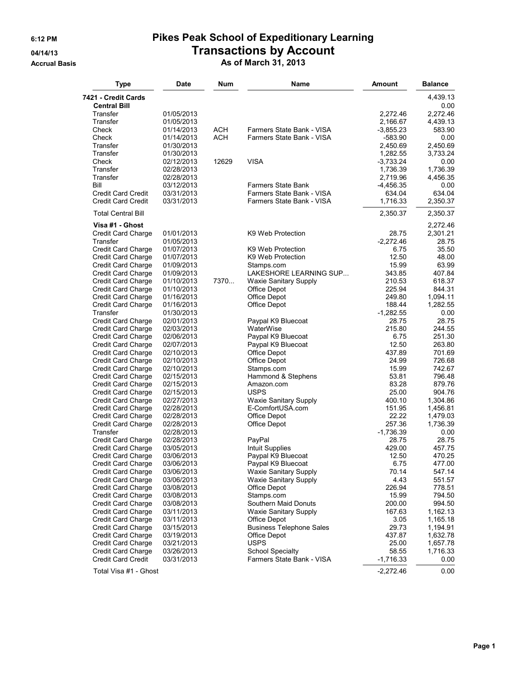## **6:12 PM Pikes Peak School of Expeditionary Learning 04/14/13 Transactions by Account**

**Accrual Basis As of March 31, 2013**

| <b>Type</b>                              | <b>Date</b>              | Num   | Name                                         | <b>Amount</b>         | <b>Balance</b>       |
|------------------------------------------|--------------------------|-------|----------------------------------------------|-----------------------|----------------------|
| 7421 - Credit Cards                      |                          |       |                                              |                       | 4,439.13             |
| <b>Central Bill</b>                      |                          |       |                                              |                       | 0.00                 |
| Transfer                                 | 01/05/2013               |       |                                              | 2,272.46              | 2,272.46             |
| Transfer                                 | 01/05/2013               |       |                                              | 2,166.67              | 4,439.13             |
| Check                                    | 01/14/2013               | ACH   | Farmers State Bank - VISA                    | $-3,855.23$           | 583.90               |
| Check<br>Transfer                        | 01/14/2013               | ACH   | Farmers State Bank - VISA                    | -583.90               | 0.00                 |
| Transfer                                 | 01/30/2013<br>01/30/2013 |       |                                              | 2,450.69<br>1,282.55  | 2,450.69<br>3,733.24 |
| Check                                    | 02/12/2013               | 12629 | <b>VISA</b>                                  | $-3,733.24$           | 0.00                 |
| Transfer                                 | 02/28/2013               |       |                                              | 1,736.39              | 1,736.39             |
| Transfer                                 | 02/28/2013               |       |                                              | 2.719.96              | 4,456.35             |
| Bill                                     | 03/12/2013               |       | <b>Farmers State Bank</b>                    | $-4,456.35$           | 0.00                 |
| <b>Credit Card Credit</b>                | 03/31/2013               |       | Farmers State Bank - VISA                    | 634.04                | 634.04               |
| <b>Credit Card Credit</b>                | 03/31/2013               |       | Farmers State Bank - VISA                    | 1,716.33              | 2,350.37             |
| <b>Total Central Bill</b>                |                          |       |                                              | 2,350.37              | 2,350.37             |
| Visa #1 - Ghost                          |                          |       | K9 Web Protection                            |                       | 2,272.46             |
| Credit Card Charge<br>Transfer           | 01/01/2013<br>01/05/2013 |       |                                              | 28.75<br>$-2,272.46$  | 2,301.21<br>28.75    |
| Credit Card Charge                       | 01/07/2013               |       | K9 Web Protection                            | 6.75                  | 35.50                |
| <b>Credit Card Charge</b>                | 01/07/2013               |       | K9 Web Protection                            | 12.50                 | 48.00                |
| Credit Card Charge                       | 01/09/2013               |       | Stamps.com                                   | 15.99                 | 63.99                |
| <b>Credit Card Charge</b>                | 01/09/2013               |       | LAKESHORE LEARNING SUP                       | 343.85                | 407.84               |
| Credit Card Charge                       | 01/10/2013               | 7370  | <b>Waxie Sanitary Supply</b>                 | 210.53                | 618.37               |
| Credit Card Charge                       | 01/10/2013               |       | Office Depot                                 | 225.94                | 844.31               |
| Credit Card Charge                       | 01/16/2013               |       | Office Depot                                 | 249.80                | 1,094.11             |
| Credit Card Charge                       | 01/16/2013               |       | Office Depot                                 | 188.44                | 1,282.55             |
| Transfer                                 | 01/30/2013               |       |                                              | $-1,282.55$           | 0.00                 |
| Credit Card Charge                       | 02/01/2013               |       | Paypal K9 Bluecoat                           | 28.75                 | 28.75                |
| Credit Card Charge<br>Credit Card Charge | 02/03/2013<br>02/06/2013 |       | WaterWise<br>Paypal K9 Bluecoat              | 215.80<br>6.75        | 244.55<br>251.30     |
| Credit Card Charge                       | 02/07/2013               |       | Paypal K9 Bluecoat                           | 12.50                 | 263.80               |
| Credit Card Charge                       | 02/10/2013               |       | Office Depot                                 | 437.89                | 701.69               |
| Credit Card Charge                       | 02/10/2013               |       | Office Depot                                 | 24.99                 | 726.68               |
| Credit Card Charge                       | 02/10/2013               |       | Stamps.com                                   | 15.99                 | 742.67               |
| Credit Card Charge                       | 02/15/2013               |       | Hammond & Stephens                           | 53.81                 | 796.48               |
| Credit Card Charge                       | 02/15/2013               |       | Amazon.com                                   | 83.28                 | 879.76               |
| Credit Card Charge                       | 02/15/2013               |       | <b>USPS</b>                                  | 25.00                 | 904.76               |
| Credit Card Charge                       | 02/27/2013               |       | <b>Waxie Sanitary Supply</b>                 | 400.10                | 1,304.86             |
| Credit Card Charge                       | 02/28/2013               |       | E-ComfortUSA.com                             | 151.95                | 1,456.81             |
| Credit Card Charge                       | 02/28/2013               |       | Office Depot                                 | 22.22                 | 1,479.03<br>1,736.39 |
| Credit Card Charge<br>Transfer           | 02/28/2013<br>02/28/2013 |       | Office Depot                                 | 257.36<br>$-1,736.39$ | 0.00                 |
| Credit Card Charge                       | 02/28/2013               |       | PayPal                                       | 28.75                 | 28.75                |
| Credit Card Charge                       | 03/05/2013               |       | Intuit Supplies                              | 429.00                | 457.75               |
| Credit Card Charge                       | 03/06/2013               |       | Paypal K9 Bluecoat                           | 12.50                 | 470.25               |
| <b>Credit Card Charge</b>                | 03/06/2013               |       | Paypal K9 Bluecoat                           | 6.75                  | 477.00               |
| Credit Card Charge                       | 03/06/2013               |       | Waxie Sanitary Supply                        | 70.14                 | 547.14               |
| Credit Card Charge                       | 03/06/2013               |       | Waxie Sanitary Supply                        | 4.43                  | 551.57               |
| Credit Card Charge                       | 03/08/2013               |       | Office Depot                                 | 226.94                | 778.51               |
| Credit Card Charge                       | 03/08/2013               |       | Stamps.com                                   | 15.99                 | 794.50               |
| Credit Card Charge                       | 03/08/2013               |       | Southern Maid Donuts                         | 200.00                | 994.50               |
| Credit Card Charge<br>Credit Card Charge | 03/11/2013<br>03/11/2013 |       | <b>Waxie Sanitary Supply</b><br>Office Depot | 167.63<br>3.05        | 1,162.13<br>1,165.18 |
| Credit Card Charge                       | 03/15/2013               |       | <b>Business Telephone Sales</b>              | 29.73                 | 1,194.91             |
| Credit Card Charge                       | 03/19/2013               |       | Office Depot                                 | 437.87                | 1,632.78             |
| Credit Card Charge                       | 03/21/2013               |       | <b>USPS</b>                                  | 25.00                 | 1,657.78             |
| Credit Card Charge                       | 03/26/2013               |       | <b>School Specialty</b>                      | 58.55                 | 1,716.33             |
| <b>Credit Card Credit</b>                | 03/31/2013               |       | Farmers State Bank - VISA                    | $-1,716.33$           | 0.00                 |
| Total Visa #1 - Ghost                    |                          |       |                                              | $-2,272.46$           | 0.00                 |